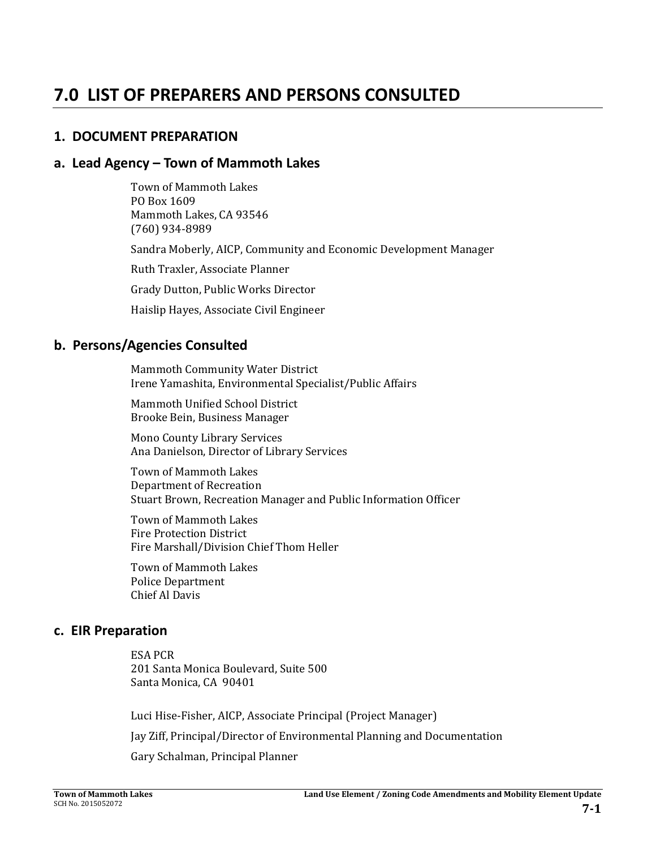# **7.0 LIST OF PREPARERS AND PERSONS CONSULTED**

## **1. DOCUMENT PREPARATION**

## **a. Lead Agency – Town of Mammoth Lakes**

Town of Mammoth Lakes PO Box 1609 Mammoth Lakes, CA 93546 (760) 934‐8989 

Sandra Moberly, AICP, Community and Economic Development Manager

Ruth Traxler, Associate Planner

Grady Dutton, Public Works Director 

Haislip Hayes, Associate Civil Engineer

### **b. Persons/Agencies Consulted**

Mammoth Community Water District Irene Yamashita, Environmental Specialist/Public Affairs

Mammoth Unified School District Brooke Bein, Business Manager 

Mono County Library Services Ana Danielson, Director of Library Services

Town of Mammoth Lakes Department of Recreation Stuart Brown, Recreation Manager and Public Information Officer

Town of Mammoth Lakes Fire Protection District Fire Marshall/Division Chief Thom Heller

Town of Mammoth Lakes Police Department Chief Al Davis 

### **c. EIR Preparation**

ESA PCR 201 Santa Monica Boulevard, Suite 500 Santa Monica, CA 90401

Luci Hise-Fisher, AICP, Associate Principal (Project Manager)

Jay Ziff, Principal/Director of Environmental Planning and Documentation

Gary Schalman, Principal Planner